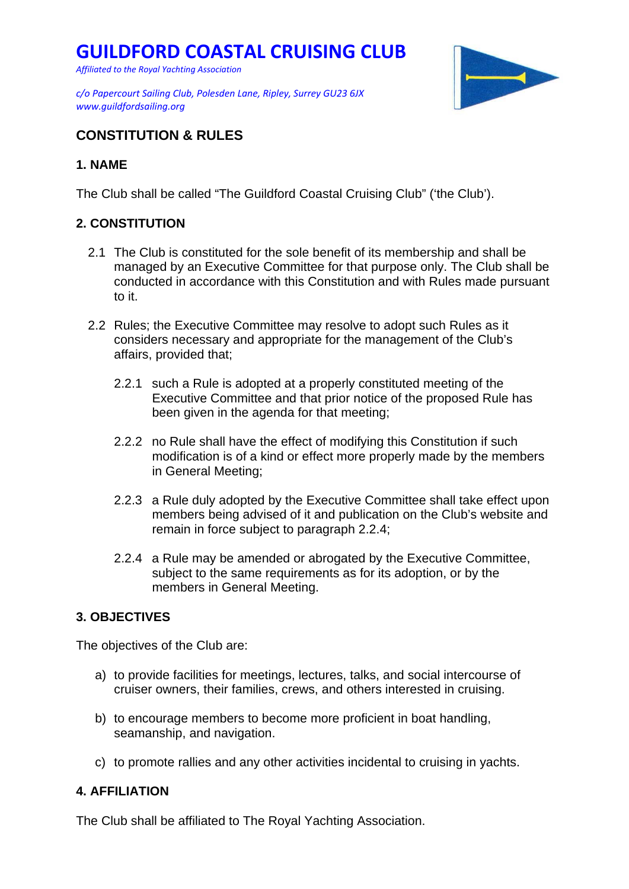*Affiliated to the Royal Yachting Association*

*www.guildfordsailing.org* 



## **CONSTITUTION & RULES**

## **1. NAME**

The Club shall be called "The Guildford Coastal Cruising Club" ('the Club').

### **2. CONSTITUTION**

- 2.1 The Club is constituted for the sole benefit of its membership and shall be managed by an Executive Committee for that purpose only. The Club shall be conducted in accordance with this Constitution and with Rules made pursuant to it.
- 2.2 Rules; the Executive Committee may resolve to adopt such Rules as it considers necessary and appropriate for the management of the Club's affairs, provided that;
	- 2.2.1 such a Rule is adopted at a properly constituted meeting of the Executive Committee and that prior notice of the proposed Rule has been given in the agenda for that meeting;
	- 2.2.2 no Rule shall have the effect of modifying this Constitution if such modification is of a kind or effect more properly made by the members in General Meeting;
	- 2.2.3 a Rule duly adopted by the Executive Committee shall take effect upon members being advised of it and publication on the Club's website and remain in force subject to paragraph 2.2.4;
	- 2.2.4 a Rule may be amended or abrogated by the Executive Committee, subject to the same requirements as for its adoption, or by the members in General Meeting.

## **3. OBJECTIVES**

The objectives of the Club are:

- a) to provide facilities for meetings, lectures, talks, and social intercourse of cruiser owners, their families, crews, and others interested in cruising.
- b) to encourage members to become more proficient in boat handling, seamanship, and navigation.
- c) to promote rallies and any other activities incidental to cruising in yachts.

## **4. AFFILIATION**

The Club shall be affiliated to The Royal Yachting Association.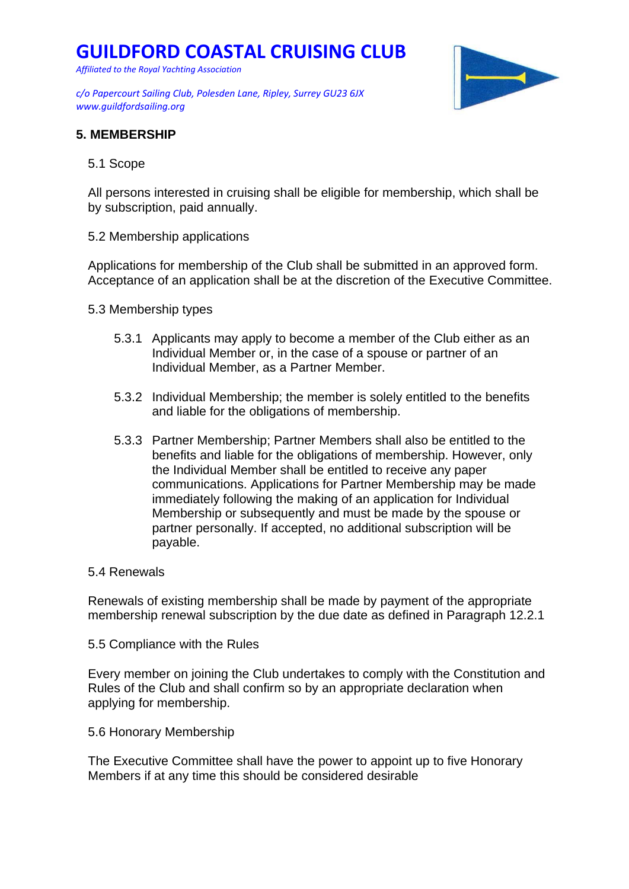*Affiliated to the Royal Yachting Association*

*c/o Papercourt Sailing Club, Polesden Lane, Ripley, Surrey GU23 6JX www.guildfordsailing.org* 



### **5. MEMBERSHIP**

5.1 Scope

All persons interested in cruising shall be eligible for membership, which shall be by subscription, paid annually.

5.2 Membership applications

Applications for membership of the Club shall be submitted in an approved form. Acceptance of an application shall be at the discretion of the Executive Committee.

- 5.3 Membership types
	- 5.3.1 Applicants may apply to become a member of the Club either as an Individual Member or, in the case of a spouse or partner of an Individual Member, as a Partner Member.
	- 5.3.2 Individual Membership; the member is solely entitled to the benefits and liable for the obligations of membership.
	- 5.3.3 Partner Membership; Partner Members shall also be entitled to the benefits and liable for the obligations of membership. However, only the Individual Member shall be entitled to receive any paper communications. Applications for Partner Membership may be made immediately following the making of an application for Individual Membership or subsequently and must be made by the spouse or partner personally. If accepted, no additional subscription will be payable.

#### 5.4 Renewals

Renewals of existing membership shall be made by payment of the appropriate membership renewal subscription by the due date as defined in Paragraph 12.2.1

5.5 Compliance with the Rules

Every member on joining the Club undertakes to comply with the Constitution and Rules of the Club and shall confirm so by an appropriate declaration when applying for membership.

5.6 Honorary Membership

The Executive Committee shall have the power to appoint up to five Honorary Members if at any time this should be considered desirable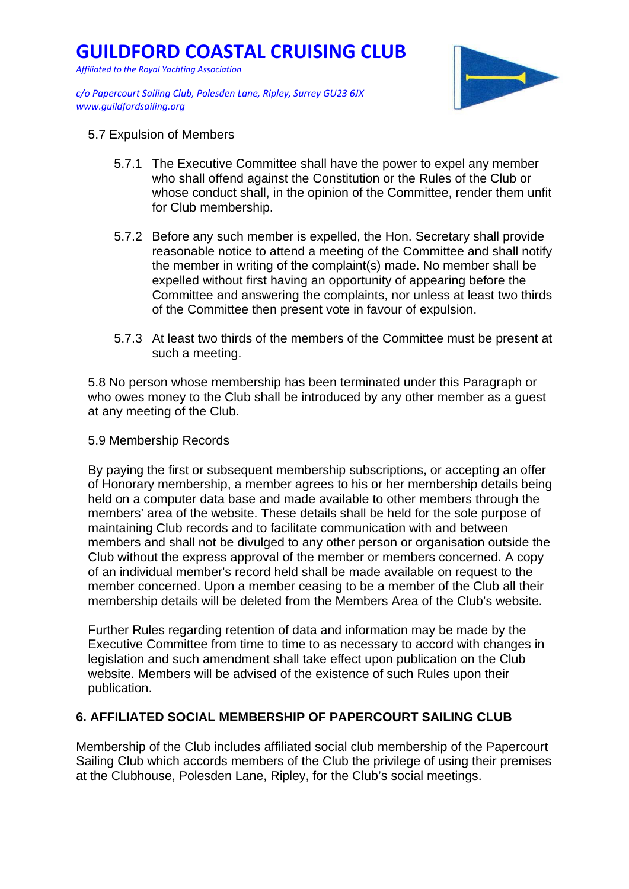*Affiliated to the Royal Yachting Association*

*c/o Papercourt Sailing Club, Polesden Lane, Ripley, Surrey GU23 6JX www.guildfordsailing.org* 



- 5.7 Expulsion of Members
	- 5.7.1 The Executive Committee shall have the power to expel any member who shall offend against the Constitution or the Rules of the Club or whose conduct shall, in the opinion of the Committee, render them unfit for Club membership.
	- 5.7.2 Before any such member is expelled, the Hon. Secretary shall provide reasonable notice to attend a meeting of the Committee and shall notify the member in writing of the complaint(s) made. No member shall be expelled without first having an opportunity of appearing before the Committee and answering the complaints, nor unless at least two thirds of the Committee then present vote in favour of expulsion.
	- 5.7.3 At least two thirds of the members of the Committee must be present at such a meeting.

5.8 No person whose membership has been terminated under this Paragraph or who owes money to the Club shall be introduced by any other member as a guest at any meeting of the Club.

#### 5.9 Membership Records

By paying the first or subsequent membership subscriptions, or accepting an offer of Honorary membership, a member agrees to his or her membership details being held on a computer data base and made available to other members through the members' area of the website. These details shall be held for the sole purpose of maintaining Club records and to facilitate communication with and between members and shall not be divulged to any other person or organisation outside the Club without the express approval of the member or members concerned. A copy of an individual member's record held shall be made available on request to the member concerned. Upon a member ceasing to be a member of the Club all their membership details will be deleted from the Members Area of the Club's website.

Further Rules regarding retention of data and information may be made by the Executive Committee from time to time to as necessary to accord with changes in legislation and such amendment shall take effect upon publication on the Club website. Members will be advised of the existence of such Rules upon their publication.

### **6. AFFILIATED SOCIAL MEMBERSHIP OF PAPERCOURT SAILING CLUB**

Membership of the Club includes affiliated social club membership of the Papercourt Sailing Club which accords members of the Club the privilege of using their premises at the Clubhouse, Polesden Lane, Ripley, for the Club's social meetings.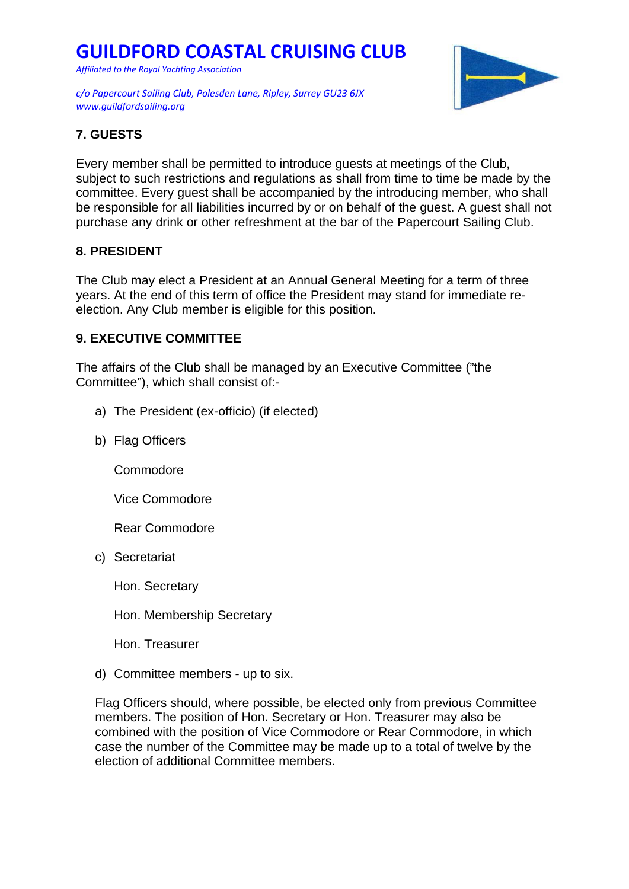*Affiliated to the Royal Yachting Association*

*c/o Papercourt Sailing Club, Polesden Lane, Ripley, Surrey GU23 6JX www.guildfordsailing.org* 



## **7. GUESTS**

Every member shall be permitted to introduce guests at meetings of the Club, subject to such restrictions and regulations as shall from time to time be made by the committee. Every guest shall be accompanied by the introducing member, who shall be responsible for all liabilities incurred by or on behalf of the guest. A guest shall not purchase any drink or other refreshment at the bar of the Papercourt Sailing Club.

## **8. PRESIDENT**

The Club may elect a President at an Annual General Meeting for a term of three years. At the end of this term of office the President may stand for immediate reelection. Any Club member is eligible for this position.

## **9. EXECUTIVE COMMITTEE**

The affairs of the Club shall be managed by an Executive Committee ("the Committee"), which shall consist of:-

- a) The President (ex-officio) (if elected)
- b) Flag Officers

Commodore

Vice Commodore

Rear Commodore

c) Secretariat

Hon. Secretary

Hon. Membership Secretary

Hon. Treasurer

d) Committee members - up to six.

Flag Officers should, where possible, be elected only from previous Committee members. The position of Hon. Secretary or Hon. Treasurer may also be combined with the position of Vice Commodore or Rear Commodore, in which case the number of the Committee may be made up to a total of twelve by the election of additional Committee members.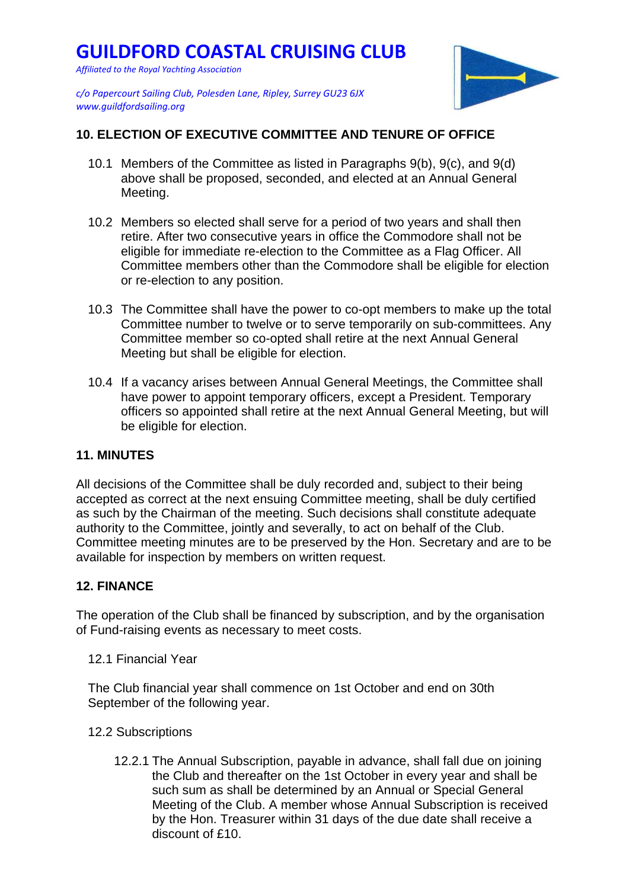*Affiliated to the Royal Yachting Association*



*c/o Papercourt Sailing Club, Polesden Lane, Ripley, Surrey GU23 6JX www.guildfordsailing.org* 

## **10. ELECTION OF EXECUTIVE COMMITTEE AND TENURE OF OFFICE**

- 10.1 Members of the Committee as listed in Paragraphs 9(b), 9(c), and 9(d) above shall be proposed, seconded, and elected at an Annual General Meeting.
- 10.2 Members so elected shall serve for a period of two years and shall then retire. After two consecutive years in office the Commodore shall not be eligible for immediate re-election to the Committee as a Flag Officer. All Committee members other than the Commodore shall be eligible for election or re-election to any position.
- 10.3 The Committee shall have the power to co-opt members to make up the total Committee number to twelve or to serve temporarily on sub-committees. Any Committee member so co-opted shall retire at the next Annual General Meeting but shall be eligible for election.
- 10.4 If a vacancy arises between Annual General Meetings, the Committee shall have power to appoint temporary officers, except a President. Temporary officers so appointed shall retire at the next Annual General Meeting, but will be eligible for election.

### **11. MINUTES**

All decisions of the Committee shall be duly recorded and, subject to their being accepted as correct at the next ensuing Committee meeting, shall be duly certified as such by the Chairman of the meeting. Such decisions shall constitute adequate authority to the Committee, jointly and severally, to act on behalf of the Club. Committee meeting minutes are to be preserved by the Hon. Secretary and are to be available for inspection by members on written request.

### **12. FINANCE**

The operation of the Club shall be financed by subscription, and by the organisation of Fund-raising events as necessary to meet costs.

12.1 Financial Year

The Club financial year shall commence on 1st October and end on 30th September of the following year.

- 12.2 Subscriptions
	- 12.2.1 The Annual Subscription, payable in advance, shall fall due on joining the Club and thereafter on the 1st October in every year and shall be such sum as shall be determined by an Annual or Special General Meeting of the Club. A member whose Annual Subscription is received by the Hon. Treasurer within 31 days of the due date shall receive a discount of £10.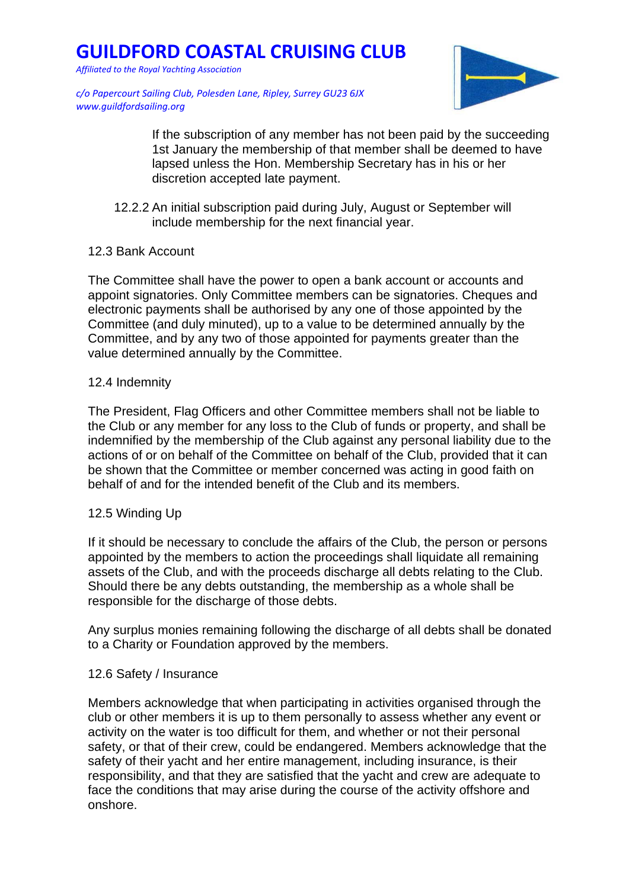*Affiliated to the Royal Yachting Association*

*c/o Papercourt Sailing Club, Polesden Lane, Ripley, Surrey GU23 6JX www.guildfordsailing.org* 

> If the subscription of any member has not been paid by the succeeding 1st January the membership of that member shall be deemed to have lapsed unless the Hon. Membership Secretary has in his or her discretion accepted late payment.

12.2.2 An initial subscription paid during July, August or September will include membership for the next financial year.

### 12.3 Bank Account

The Committee shall have the power to open a bank account or accounts and appoint signatories. Only Committee members can be signatories. Cheques and electronic payments shall be authorised by any one of those appointed by the Committee (and duly minuted), up to a value to be determined annually by the Committee, and by any two of those appointed for payments greater than the value determined annually by the Committee.

### 12.4 Indemnity

The President, Flag Officers and other Committee members shall not be liable to the Club or any member for any loss to the Club of funds or property, and shall be indemnified by the membership of the Club against any personal liability due to the actions of or on behalf of the Committee on behalf of the Club, provided that it can be shown that the Committee or member concerned was acting in good faith on behalf of and for the intended benefit of the Club and its members.

### 12.5 Winding Up

If it should be necessary to conclude the affairs of the Club, the person or persons appointed by the members to action the proceedings shall liquidate all remaining assets of the Club, and with the proceeds discharge all debts relating to the Club. Should there be any debts outstanding, the membership as a whole shall be responsible for the discharge of those debts.

Any surplus monies remaining following the discharge of all debts shall be donated to a Charity or Foundation approved by the members.

### 12.6 Safety / Insurance

Members acknowledge that when participating in activities organised through the club or other members it is up to them personally to assess whether any event or activity on the water is too difficult for them, and whether or not their personal safety, or that of their crew, could be endangered. Members acknowledge that the safety of their yacht and her entire management, including insurance, is their responsibility, and that they are satisfied that the yacht and crew are adequate to face the conditions that may arise during the course of the activity offshore and onshore.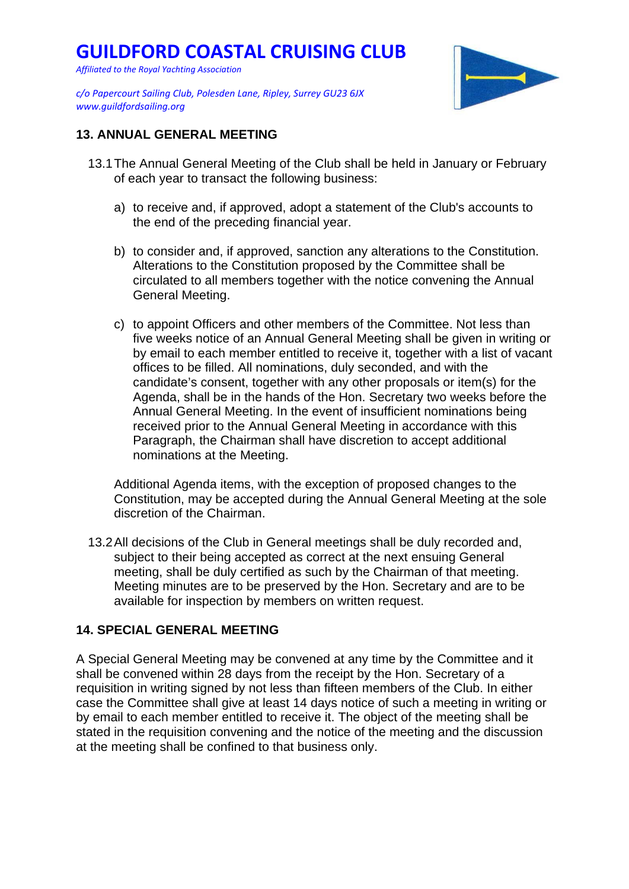*Affiliated to the Royal Yachting Association*

*c/o Papercourt Sailing Club, Polesden Lane, Ripley, Surrey GU23 6JX www.guildfordsailing.org* 



### **13. ANNUAL GENERAL MEETING**

- 13.1 The Annual General Meeting of the Club shall be held in January or February of each year to transact the following business:
	- a) to receive and, if approved, adopt a statement of the Club's accounts to the end of the preceding financial year.
	- b) to consider and, if approved, sanction any alterations to the Constitution. Alterations to the Constitution proposed by the Committee shall be circulated to all members together with the notice convening the Annual General Meeting.
	- c) to appoint Officers and other members of the Committee. Not less than five weeks notice of an Annual General Meeting shall be given in writing or by email to each member entitled to receive it, together with a list of vacant offices to be filled. All nominations, duly seconded, and with the candidate's consent, together with any other proposals or item(s) for the Agenda, shall be in the hands of the Hon. Secretary two weeks before the Annual General Meeting. In the event of insufficient nominations being received prior to the Annual General Meeting in accordance with this Paragraph, the Chairman shall have discretion to accept additional nominations at the Meeting.

Additional Agenda items, with the exception of proposed changes to the Constitution, may be accepted during the Annual General Meeting at the sole discretion of the Chairman.

13.2 All decisions of the Club in General meetings shall be duly recorded and, subject to their being accepted as correct at the next ensuing General meeting, shall be duly certified as such by the Chairman of that meeting. Meeting minutes are to be preserved by the Hon. Secretary and are to be available for inspection by members on written request.

## **14. SPECIAL GENERAL MEETING**

A Special General Meeting may be convened at any time by the Committee and it shall be convened within 28 days from the receipt by the Hon. Secretary of a requisition in writing signed by not less than fifteen members of the Club. In either case the Committee shall give at least 14 days notice of such a meeting in writing or by email to each member entitled to receive it. The object of the meeting shall be stated in the requisition convening and the notice of the meeting and the discussion at the meeting shall be confined to that business only.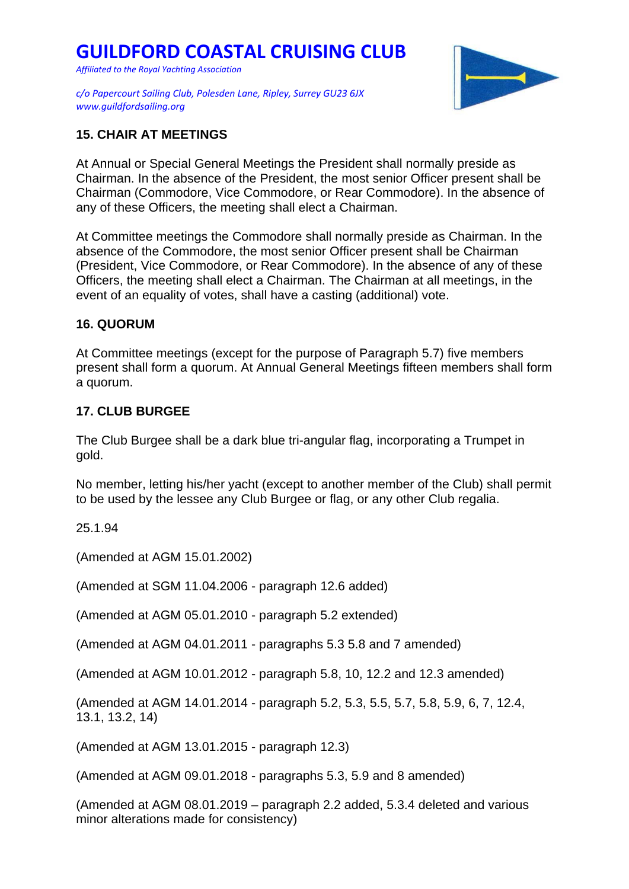*Affiliated to the Royal Yachting Association*

*c/o Papercourt Sailing Club, Polesden Lane, Ripley, Surrey GU23 6JX www.guildfordsailing.org* 



#### **15. CHAIR AT MEETINGS**

At Annual or Special General Meetings the President shall normally preside as Chairman. In the absence of the President, the most senior Officer present shall be Chairman (Commodore, Vice Commodore, or Rear Commodore). In the absence of any of these Officers, the meeting shall elect a Chairman.

At Committee meetings the Commodore shall normally preside as Chairman. In the absence of the Commodore, the most senior Officer present shall be Chairman (President, Vice Commodore, or Rear Commodore). In the absence of any of these Officers, the meeting shall elect a Chairman. The Chairman at all meetings, in the event of an equality of votes, shall have a casting (additional) vote.

#### **16. QUORUM**

At Committee meetings (except for the purpose of Paragraph 5.7) five members present shall form a quorum. At Annual General Meetings fifteen members shall form a quorum.

#### **17. CLUB BURGEE**

The Club Burgee shall be a dark blue tri-angular flag, incorporating a Trumpet in gold.

No member, letting his/her yacht (except to another member of the Club) shall permit to be used by the lessee any Club Burgee or flag, or any other Club regalia.

25.1.94

(Amended at AGM 15.01.2002)

(Amended at SGM 11.04.2006 - paragraph 12.6 added)

(Amended at AGM 05.01.2010 - paragraph 5.2 extended)

(Amended at AGM 04.01.2011 - paragraphs 5.3 5.8 and 7 amended)

(Amended at AGM 10.01.2012 - paragraph 5.8, 10, 12.2 and 12.3 amended)

(Amended at AGM 14.01.2014 - paragraph 5.2, 5.3, 5.5, 5.7, 5.8, 5.9, 6, 7, 12.4, 13.1, 13.2, 14)

(Amended at AGM 13.01.2015 - paragraph 12.3)

(Amended at AGM 09.01.2018 - paragraphs 5.3, 5.9 and 8 amended)

(Amended at AGM 08.01.2019 – paragraph 2.2 added, 5.3.4 deleted and various minor alterations made for consistency)